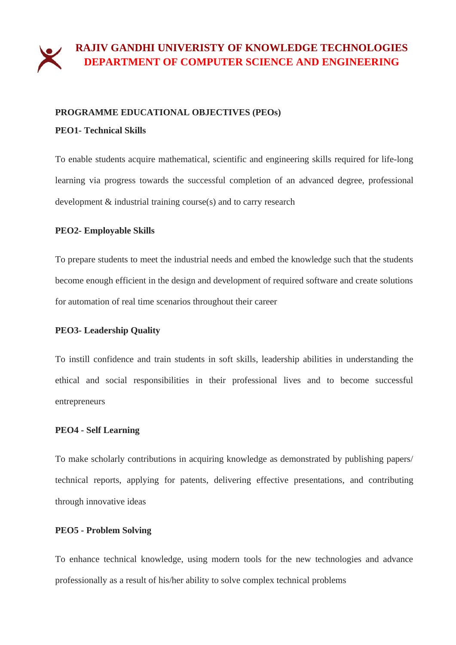# **RAJIV GANDHI UNIVERISTY OF KNOWLEDGE TECHNOLOGIES DEPARTMENT OF COMPUTER SCIENCE AND ENGINEERING**

#### **PROGRAMME EDUCATIONAL OBJECTIVES (PEOs)**

#### **PEO1- Technical Skills**

To enable students acquire mathematical, scientific and engineering skills required for life-long learning via progress towards the successful completion of an advanced degree, professional development & industrial training course(s) and to carry research

## **PEO2- Employable Skills**

To prepare students to meet the industrial needs and embed the knowledge such that the students become enough efficient in the design and development of required software and create solutions for automation of real time scenarios throughout their career

## **PEO3- Leadership Quality**

To instill confidence and train students in soft skills, leadership abilities in understanding the ethical and social responsibilities in their professional lives and to become successful entrepreneurs

## **PEO4 - Self Learning**

To make scholarly contributions in acquiring knowledge as demonstrated by publishing papers/ technical reports, applying for patents, delivering effective presentations, and contributing through innovative ideas

## **PEO5 - Problem Solving**

To enhance technical knowledge, using modern tools for the new technologies and advance professionally as a result of his/her ability to solve complex technical problems